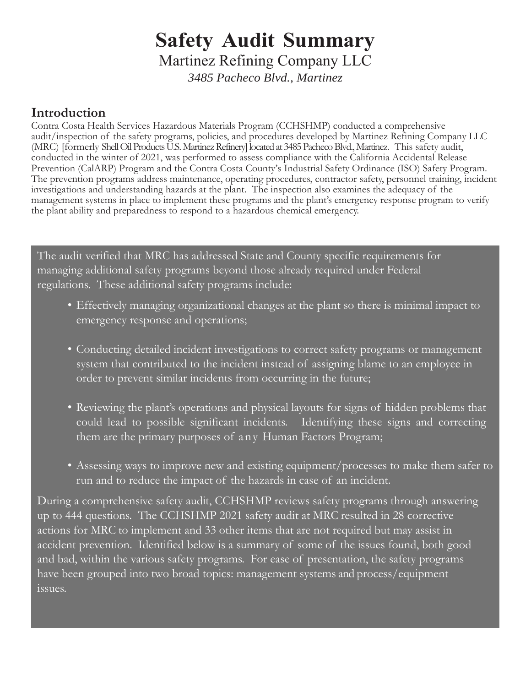# **Safety Audit Summary**

Martinez Refining Company LLC

*3485 Pacheco Blvd., Martinez*

#### **Introduction**

Contra Costa Health Services Hazardous Materials Program (CCHSHMP) conducted a comprehensive audit/inspection of the safety programs, policies, and procedures developed by Martinez Refining Company LLC (MRC) [formerly Shell Oil Products U.S. Martinez Refinery] located at 3485 Pacheco Blvd., Martinez. This safety audit, conducted in the winter of 2021, was performed to assess compliance with the California Accidental Release Prevention (CalARP) Program and the Contra Costa County's Industrial Safety Ordinance (ISO) Safety Program. The prevention programs address maintenance, operating procedures, contractor safety, personnel training, incident investigations and understanding hazards at the plant. The inspection also examines the adequacy of the management systems in place to implement these programs and the plant's emergency response program to verify the plant ability and preparedness to respond to a hazardous chemical emergency.

The audit verified that MRC has addressed State and County specific requirements for managing additional safety programs beyond those already required under Federal regulations. These additional safety programs include:

- Effectively managing organizational changes at the plant so there is minimal impact to emergency response and operations;
- Conducting detailed incident investigations to correct safety programs or management system that contributed to the incident instead of assigning blame to an employee in order to prevent similar incidents from occurring in the future;
- Reviewing the plant's operations and physical layouts for signs of hidden problems that could lead to possible significant incidents. Identifying these signs and correcting them are the primary purposes of any Human Factors Program;
- Assessing ways to improve new and existing equipment/processes to make them safer to run and to reduce the impact of the hazards in case of an incident.

During a comprehensive safety audit, CCHSHMP reviews safety programs through answering up to 444 questions. The CCHSHMP 2021 safety audit at MRC resulted in 28 corrective actions for MRC to implement and 33 other items that are not required but may assist in accident prevention. Identified below is a summary of some of the issues found, both good and bad, within the various safety programs. For ease of presentation, the safety programs have been grouped into two broad topics: management systems and process/equipment .<br>issues.